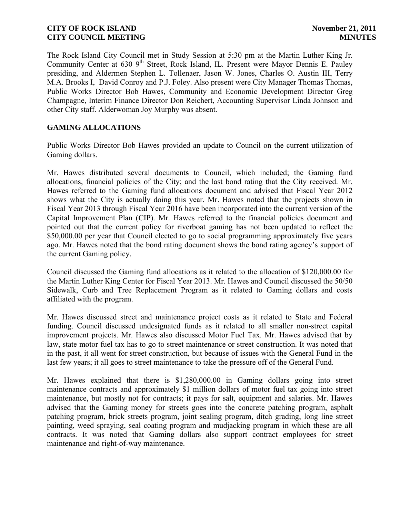The Rock Island City Council met in Study Session at 5:30 pm at the Martin Luther King Jr. Community Center at 630 9<sup>th</sup> Street, Rock Island, IL. Present were Mayor Dennis E. Pauley presiding, and Aldermen Stephen L. Tollenaer, Jason W. Jones, Charles O. Austin III, Terry M.A. Brooks I, David Conroy and P.J. Foley. Also present were City Manager Thomas Thomas, Public Works Director Bob Hawes, Community and Economic Development Director Greg Champagne, Interim Finance Director Don Reichert, Accounting Supervisor Linda Johnson and other City staff. Alderwoman Joy Murphy was absent.

## **GAMING ALLOCATIONS**

Public Works Director Bob Hawes provided an update to Council on the current utilization of Gaming dollars.

Mr. Hawes distributed several document**s** to Council, which included; the Gaming fund allocations, financial policies of the City; and the last bond rating that the City received. Mr. Hawes referred to the Gaming fund allocations document and advised that Fiscal Year 2012 shows what the City is actually doing this year. Mr. Hawes noted that the projects shown in Fiscal Year 2013 through Fiscal Year 2016 have been incorporated into the current version of the Capital Improvement Plan (CIP). Mr. Hawes referred to the financial policies document and pointed out that the current policy for riverboat gaming has not been updated to reflect the \$50,000.00 per year that Council elected to go to social programming approximately five years ago. Mr. Hawes noted that the bond rating document shows the bond rating agency's support of the current Gaming policy.

Council discussed the Gaming fund allocations as it related to the allocation of \$120,000.00 for the Martin Luther King Center for Fiscal Year 2013. Mr. Hawes and Council discussed the 50/50 Sidewalk, Curb and Tree Replacement Program as it related to Gaming dollars and costs affiliated with the program.

Mr. Hawes discussed street and maintenance project costs as it related to State and Federal funding. Council discussed undesignated funds as it related to all smaller non-street capital improvement projects. Mr. Hawes also discussed Motor Fuel Tax. Mr. Hawes advised that by law, state motor fuel tax has to go to street maintenance or street construction. It was noted that in the past, it all went for street construction, but because of issues with the General Fund in the last few years; it all goes to street maintenance to take the pressure off of the General Fund.

Mr. Hawes explained that there is \$1,280,000.00 in Gaming dollars going into street maintenance contracts and approximately \$1 million dollars of motor fuel tax going into street maintenance, but mostly not for contracts; it pays for salt, equipment and salaries. Mr. Hawes advised that the Gaming money for streets goes into the concrete patching program, asphalt patching program, brick streets program, joint sealing program, ditch grading, long line street painting, weed spraying, seal coating program and mudjacking program in which these are all contracts. It was noted that Gaming dollars also support contract employees for street maintenance and right-of-way maintenance.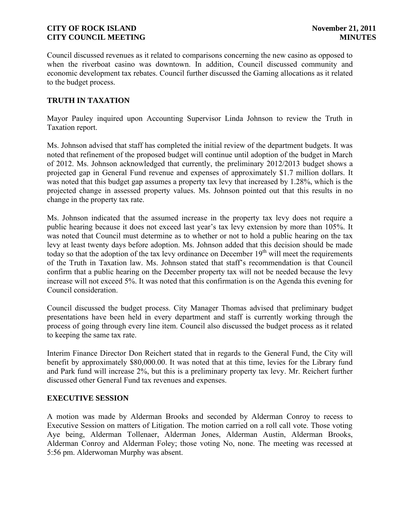Council discussed revenues as it related to comparisons concerning the new casino as opposed to when the riverboat casino was downtown. In addition, Council discussed community and economic development tax rebates. Council further discussed the Gaming allocations as it related to the budget process.

## **TRUTH IN TAXATION**

Mayor Pauley inquired upon Accounting Supervisor Linda Johnson to review the Truth in Taxation report.

Ms. Johnson advised that staff has completed the initial review of the department budgets. It was noted that refinement of the proposed budget will continue until adoption of the budget in March of 2012. Ms. Johnson acknowledged that currently, the preliminary 2012/2013 budget shows a projected gap in General Fund revenue and expenses of approximately \$1.7 million dollars. It was noted that this budget gap assumes a property tax levy that increased by 1.28%, which is the projected change in assessed property values. Ms. Johnson pointed out that this results in no change in the property tax rate.

Ms. Johnson indicated that the assumed increase in the property tax levy does not require a public hearing because it does not exceed last year's tax levy extension by more than 105%. It was noted that Council must determine as to whether or not to hold a public hearing on the tax levy at least twenty days before adoption. Ms. Johnson added that this decision should be made today so that the adoption of the tax levy ordinance on December  $19<sup>th</sup>$  will meet the requirements of the Truth in Taxation law. Ms. Johnson stated that staff's recommendation is that Council confirm that a public hearing on the December property tax will not be needed because the levy increase will not exceed 5%. It was noted that this confirmation is on the Agenda this evening for Council consideration.

Council discussed the budget process. City Manager Thomas advised that preliminary budget presentations have been held in every department and staff is currently working through the process of going through every line item. Council also discussed the budget process as it related to keeping the same tax rate.

Interim Finance Director Don Reichert stated that in regards to the General Fund, the City will benefit by approximately \$80,000.00. It was noted that at this time, levies for the Library fund and Park fund will increase 2%, but this is a preliminary property tax levy. Mr. Reichert further discussed other General Fund tax revenues and expenses.

### **EXECUTIVE SESSION**

A motion was made by Alderman Brooks and seconded by Alderman Conroy to recess to Executive Session on matters of Litigation. The motion carried on a roll call vote. Those voting Aye being, Alderman Tollenaer, Alderman Jones, Alderman Austin, Alderman Brooks, Alderman Conroy and Alderman Foley; those voting No, none. The meeting was recessed at 5:56 pm. Alderwoman Murphy was absent.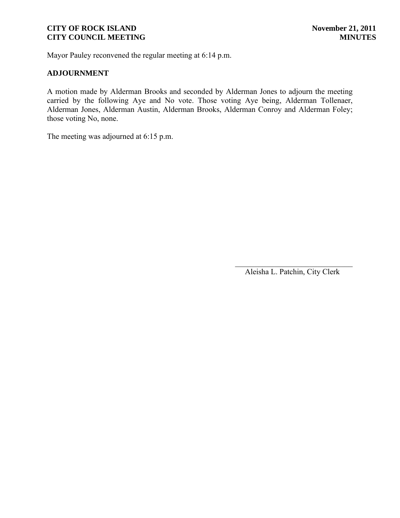Mayor Pauley reconvened the regular meeting at 6:14 p.m.

## **ADJOURNMENT**

A motion made by Alderman Brooks and seconded by Alderman Jones to adjourn the meeting carried by the following Aye and No vote. Those voting Aye being, Alderman Tollenaer, Alderman Jones, Alderman Austin, Alderman Brooks, Alderman Conroy and Alderman Foley; those voting No, none.

The meeting was adjourned at 6:15 p.m.

 $\overline{\phantom{a}}$ Aleisha L. Patchin, City Clerk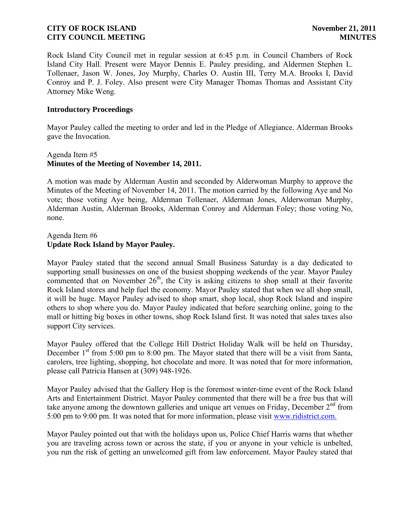Rock Island City Council met in regular session at 6:45 p.m. in Council Chambers of Rock Island City Hall. Present were Mayor Dennis E. Pauley presiding, and Aldermen Stephen L. Tollenaer, Jason W. Jones, Joy Murphy, Charles O. Austin III, Terry M.A. Brooks I, David Conroy and P. J. Foley. Also present were City Manager Thomas Thomas and Assistant City Attorney Mike Weng.

### **Introductory Proceedings**

Mayor Pauley called the meeting to order and led in the Pledge of Allegiance. Alderman Brooks gave the Invocation.

## Agenda Item #5 **Minutes of the Meeting of November 14, 2011.**

A motion was made by Alderman Austin and seconded by Alderwoman Murphy to approve the Minutes of the Meeting of November 14, 2011. The motion carried by the following Aye and No vote; those voting Aye being, Alderman Tollenaer, Alderman Jones, Alderwoman Murphy, Alderman Austin, Alderman Brooks, Alderman Conroy and Alderman Foley; those voting No, none.

## Agenda Item #6 **Update Rock Island by Mayor Pauley.**

Mayor Pauley stated that the second annual Small Business Saturday is a day dedicated to supporting small businesses on one of the busiest shopping weekends of the year. Mayor Pauley commented that on November  $26<sup>th</sup>$ , the City is asking citizens to shop small at their favorite Rock Island stores and help fuel the economy. Mayor Pauley stated that when we all shop small, it will be huge. Mayor Pauley advised to shop smart, shop local, shop Rock Island and inspire others to shop where you do. Mayor Pauley indicated that before searching online, going to the mall or hitting big boxes in other towns, shop Rock Island first. It was noted that sales taxes also support City services.

Mayor Pauley offered that the College Hill District Holiday Walk will be held on Thursday, December  $1<sup>st</sup>$  from 5:00 pm to 8:00 pm. The Mayor stated that there will be a visit from Santa, carolers, tree lighting, shopping, hot chocolate and more. It was noted that for more information, please call Patricia Hansen at (309) 948-1926.

Mayor Pauley advised that the Gallery Hop is the foremost winter-time event of the Rock Island Arts and Entertainment District. Mayor Pauley commented that there will be a free bus that will take anyone among the downtown galleries and unique art venues on Friday, December  $2<sup>nd</sup>$  from 5:00 pm to 9:00 pm. It was noted that for more information, please visit [www.ridistrict.com.](http://www.ridistrict.com.v/)

Mayor Pauley pointed out that with the holidays upon us, Police Chief Harris warns that whether you are traveling across town or across the state, if you or anyone in your vehicle is unbelted, you run the risk of getting an unwelcomed gift from law enforcement. Mayor Pauley stated that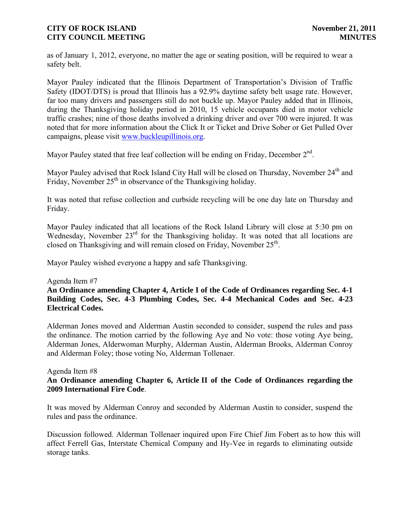as of January 1, 2012, everyone, no matter the age or seating position, will be required to wear a safety belt.

Mayor Pauley indicated that the Illinois Department of Transportation's Division of Traffic Safety (IDOT/DTS) is proud that Illinois has a 92.9% daytime safety belt usage rate. However, far too many drivers and passengers still do not buckle up. Mayor Pauley added that in Illinois, during the Thanksgiving holiday period in 2010, 15 vehicle occupants died in motor vehicle traffic crashes; nine of those deaths involved a drinking driver and over 700 were injured. It was noted that for more information about the Click It or Ticket and Drive Sober or Get Pulled Over campaigns, please visit [www.buckleupillinois.org.](http://www.buckleupillinois.org/)

Mayor Pauley stated that free leaf collection will be ending on Friday, December  $2<sup>nd</sup>$ .

Mayor Pauley advised that Rock Island City Hall will be closed on Thursday, November 24<sup>th</sup> and Friday, November  $25<sup>th</sup>$  in observance of the Thanksgiving holiday.

It was noted that refuse collection and curbside recycling will be one day late on Thursday and Friday.

Mayor Pauley indicated that all locations of the Rock Island Library will close at 5:30 pm on Wednesday, November  $23<sup>rd</sup>$  for the Thanksgiving holiday. It was noted that all locations are closed on Thanksgiving and will remain closed on Friday, November 25<sup>th</sup>.

Mayor Pauley wished everyone a happy and safe Thanksgiving.

### Agenda Item #7

**An Ordinance amending Chapter 4, Article I of the Code of Ordinances regarding Sec. 4-1 Building Codes, Sec. 4-3 Plumbing Codes, Sec. 4-4 Mechanical Codes and Sec. 4-23 Electrical Codes.**

Alderman Jones moved and Alderman Austin seconded to consider, suspend the rules and pass the ordinance. The motion carried by the following Aye and No vote: those voting Aye being, Alderman Jones, Alderwoman Murphy, Alderman Austin, Alderman Brooks, Alderman Conroy and Alderman Foley; those voting No, Alderman Tollenaer.

#### Agenda Item #8 **An Ordinance amending Chapter 6, Article II of the Code of Ordinances regarding the 2009 International Fire Code**.

It was moved by Alderman Conroy and seconded by Alderman Austin to consider, suspend the rules and pass the ordinance.

Discussion followed. Alderman Tollenaer inquired upon Fire Chief Jim Fobert as to how this will affect Ferrell Gas, Interstate Chemical Company and Hy-Vee in regards to eliminating outside storage tanks.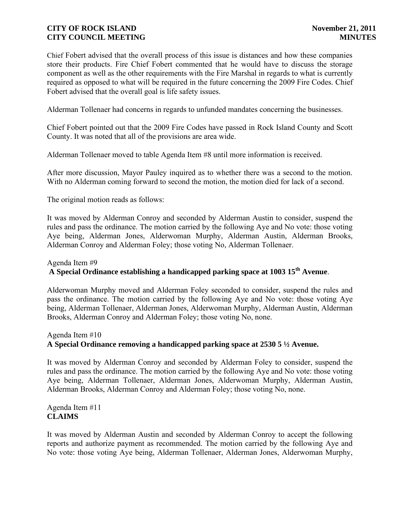Chief Fobert advised that the overall process of this issue is distances and how these companies store their products. Fire Chief Fobert commented that he would have to discuss the storage component as well as the other requirements with the Fire Marshal in regards to what is currently required as opposed to what will be required in the future concerning the 2009 Fire Codes. Chief Fobert advised that the overall goal is life safety issues.

Alderman Tollenaer had concerns in regards to unfunded mandates concerning the businesses.

Chief Fobert pointed out that the 2009 Fire Codes have passed in Rock Island County and Scott County. It was noted that all of the provisions are area wide.

Alderman Tollenaer moved to table Agenda Item #8 until more information is received.

After more discussion, Mayor Pauley inquired as to whether there was a second to the motion. With no Alderman coming forward to second the motion, the motion died for lack of a second.

The original motion reads as follows:

It was moved by Alderman Conroy and seconded by Alderman Austin to consider, suspend the rules and pass the ordinance. The motion carried by the following Aye and No vote: those voting Aye being, Alderman Jones, Alderwoman Murphy, Alderman Austin, Alderman Brooks, Alderman Conroy and Alderman Foley; those voting No, Alderman Tollenaer.

# Agenda Item #9 **A Special Ordinance establishing a handicapped parking space at 1003 15th Avenue**.

Alderwoman Murphy moved and Alderman Foley seconded to consider, suspend the rules and pass the ordinance. The motion carried by the following Aye and No vote: those voting Aye being, Alderman Tollenaer, Alderman Jones, Alderwoman Murphy, Alderman Austin, Alderman Brooks, Alderman Conroy and Alderman Foley; those voting No, none.

### Agenda Item #10

## **A Special Ordinance removing a handicapped parking space at 2530 5 ½ Avenue.**

It was moved by Alderman Conroy and seconded by Alderman Foley to consider, suspend the rules and pass the ordinance. The motion carried by the following Aye and No vote: those voting Aye being, Alderman Tollenaer, Alderman Jones, Alderwoman Murphy, Alderman Austin, Alderman Brooks, Alderman Conroy and Alderman Foley; those voting No, none.

Agenda Item #11 **CLAIMS**

It was moved by Alderman Austin and seconded by Alderman Conroy to accept the following reports and authorize payment as recommended. The motion carried by the following Aye and No vote: those voting Aye being, Alderman Tollenaer, Alderman Jones, Alderwoman Murphy,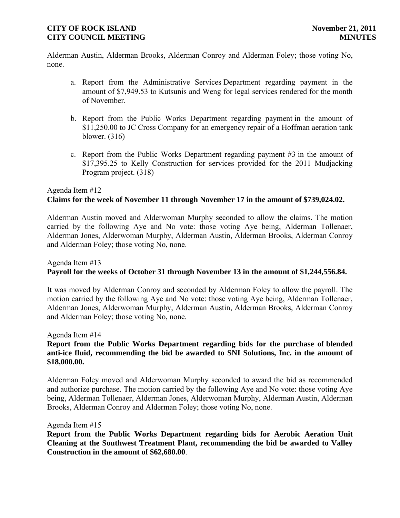Alderman Austin, Alderman Brooks, Alderman Conroy and Alderman Foley; those voting No, none.

- a. Report from the Administrative Services Department regarding payment in the amount of \$7,949.53 to Kutsunis and Weng for legal services rendered for the month of November.
- b. Report from the Public Works Department regarding payment in the amount of \$11,250.00 to JC Cross Company for an emergency repair of a Hoffman aeration tank blower. (316)
- c. Report from the Public Works Department regarding payment #3 in the amount of \$17,395.25 to Kelly Construction for services provided for the 2011 Mudjacking Program project. (318)

# Agenda Item #12  **Claims for the week of November 11 through November 17 in the amount of \$739,024.02.**

Alderman Austin moved and Alderwoman Murphy seconded to allow the claims. The motion carried by the following Aye and No vote: those voting Aye being, Alderman Tollenaer, Alderman Jones, Alderwoman Murphy, Alderman Austin, Alderman Brooks, Alderman Conroy and Alderman Foley; those voting No, none.

# Agenda Item #13 **Payroll for the weeks of October 31 through November 13 in the amount of \$1,244,556.84.**

It was moved by Alderman Conroy and seconded by Alderman Foley to allow the payroll. The motion carried by the following Aye and No vote: those voting Aye being, Alderman Tollenaer, Alderman Jones, Alderwoman Murphy, Alderman Austin, Alderman Brooks, Alderman Conroy and Alderman Foley; those voting No, none.

Agenda Item #14 **Report from the Public Works Department regarding bids for the purchase of blended anti-ice fluid, recommending the bid be awarded to SNI Solutions, Inc. in the amount of \$18,000.00.** 

Alderman Foley moved and Alderwoman Murphy seconded to award the bid as recommended and authorize purchase. The motion carried by the following Aye and No vote: those voting Aye being, Alderman Tollenaer, Alderman Jones, Alderwoman Murphy, Alderman Austin, Alderman Brooks, Alderman Conroy and Alderman Foley; those voting No, none.

### Agenda Item #15

**Report from the Public Works Department regarding bids for Aerobic Aeration Unit Cleaning at the Southwest Treatment Plant, recommending the bid be awarded to Valley Construction in the amount of \$62,680.00**.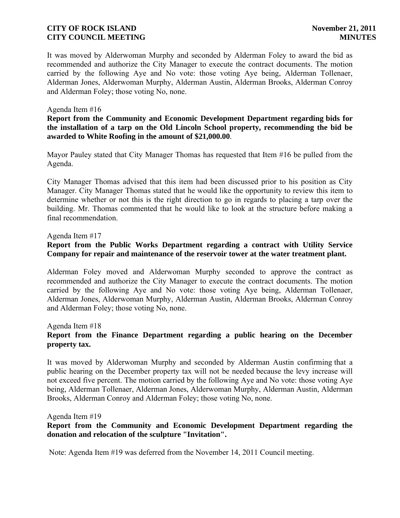It was moved by Alderwoman Murphy and seconded by Alderman Foley to award the bid as recommended and authorize the City Manager to execute the contract documents. The motion carried by the following Aye and No vote: those voting Aye being, Alderman Tollenaer, Alderman Jones, Alderwoman Murphy, Alderman Austin, Alderman Brooks, Alderman Conroy and Alderman Foley; those voting No, none.

#### Agenda Item #16

### **Report from the Community and Economic Development Department regarding bids for the installation of a tarp on the Old Lincoln School property, recommending the bid be awarded to White Roofing in the amount of \$21,000.00**.

Mayor Pauley stated that City Manager Thomas has requested that Item #16 be pulled from the Agenda.

City Manager Thomas advised that this item had been discussed prior to his position as City Manager. City Manager Thomas stated that he would like the opportunity to review this item to determine whether or not this is the right direction to go in regards to placing a tarp over the building. Mr. Thomas commented that he would like to look at the structure before making a final recommendation.

#### Agenda Item #17

## **Report from the Public Works Department regarding a contract with Utility Service Company for repair and maintenance of the reservoir tower at the water treatment plant.**

Alderman Foley moved and Alderwoman Murphy seconded to approve the contract as recommended and authorize the City Manager to execute the contract documents. The motion carried by the following Aye and No vote: those voting Aye being, Alderman Tollenaer, Alderman Jones, Alderwoman Murphy, Alderman Austin, Alderman Brooks, Alderman Conroy and Alderman Foley; those voting No, none.

Agenda Item #18

## **Report from the Finance Department regarding a public hearing on the December property tax.**

It was moved by Alderwoman Murphy and seconded by Alderman Austin confirming that a public hearing on the December property tax will not be needed because the levy increase will not exceed five percent. The motion carried by the following Aye and No vote: those voting Aye being, Alderman Tollenaer, Alderman Jones, Alderwoman Murphy, Alderman Austin, Alderman Brooks, Alderman Conroy and Alderman Foley; those voting No, none.

Agenda Item #19

## **Report from the Community and Economic Development Department regarding the donation and relocation of the sculpture "Invitation".**

Note: Agenda Item #19 was deferred from the November 14, 2011 Council meeting.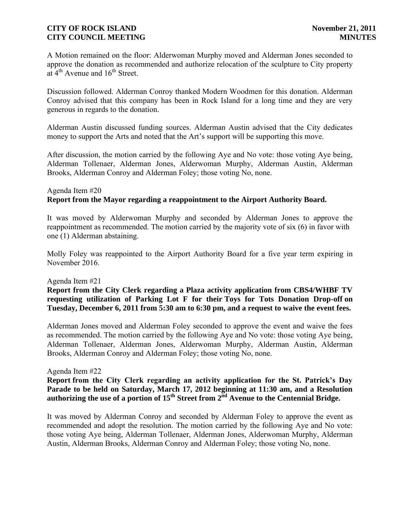A Motion remained on the floor: Alderwoman Murphy moved and Alderman Jones seconded to approve the donation as recommended and authorize relocation of the sculpture to City property at  $4<sup>th</sup>$  Avenue and  $16<sup>th</sup>$  Street.

Discussion followed. Alderman Conroy thanked Modern Woodmen for this donation. Alderman Conroy advised that this company has been in Rock Island for a long time and they are very generous in regards to the donation.

Alderman Austin discussed funding sources. Alderman Austin advised that the City dedicates money to support the Arts and noted that the Art's support will be supporting this move.

After discussion, the motion carried by the following Aye and No vote: those voting Aye being, Alderman Tollenaer, Alderman Jones, Alderwoman Murphy, Alderman Austin, Alderman Brooks, Alderman Conroy and Alderman Foley; those voting No, none.

## Agenda Item #20 **Report from the Mayor regarding a reappointment to the Airport Authority Board.**

It was moved by Alderwoman Murphy and seconded by Alderman Jones to approve the reappointment as recommended. The motion carried by the majority vote of six (6) in favor with one (1) Alderman abstaining.

Molly Foley was reappointed to the Airport Authority Board for a five year term expiring in November 2016.

### Agenda Item #21

**Report from the City Clerk regarding a Plaza activity application from CBS4/WHBF TV requesting utilization of Parking Lot F for their Toys for Tots Donation Drop-off on Tuesday, December 6, 2011 from 5:30 am to 6:30 pm, and a request to waive the event fees.**

Alderman Jones moved and Alderman Foley seconded to approve the event and waive the fees as recommended. The motion carried by the following Aye and No vote: those voting Aye being, Alderman Tollenaer, Alderman Jones, Alderwoman Murphy, Alderman Austin, Alderman Brooks, Alderman Conroy and Alderman Foley; those voting No, none.

#### Agenda Item #22

**Report from the City Clerk regarding an activity application for the St. Patrick's Day Parade to be held on Saturday, March 17, 2012 beginning at 11:30 am, and a Resolution authorizing the use of a portion of 15th Street from 2nd Avenue to the Centennial Bridge.**

It was moved by Alderman Conroy and seconded by Alderman Foley to approve the event as recommended and adopt the resolution. The motion carried by the following Aye and No vote: those voting Aye being, Alderman Tollenaer, Alderman Jones, Alderwoman Murphy, Alderman Austin, Alderman Brooks, Alderman Conroy and Alderman Foley; those voting No, none.